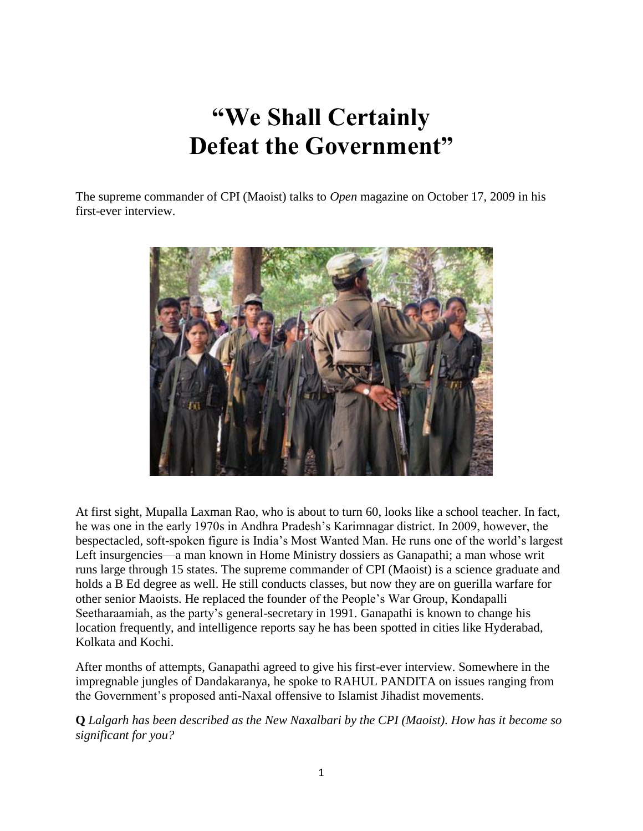# **"We Shall Certainly Defeat the Government"**

The supreme commander of CPI (Maoist) talks to *Open* magazine on October 17, 2009 in his first-ever interview.



At first sight, Mupalla Laxman Rao, who is about to turn 60, looks like a school teacher. In fact, he was one in the early 1970s in Andhra Pradesh's Karimnagar district. In 2009, however, the bespectacled, soft-spoken figure is India's Most Wanted Man. He runs one of the world's largest Left insurgencies—a man known in Home Ministry dossiers as Ganapathi; a man whose writ runs large through 15 states. The supreme commander of CPI (Maoist) is a science graduate and holds a B Ed degree as well. He still conducts classes, but now they are on guerilla warfare for other senior Maoists. He replaced the founder of the People's War Group, Kondapalli Seetharaamiah, as the party's general-secretary in 1991. Ganapathi is known to change his location frequently, and intelligence reports say he has been spotted in cities like Hyderabad, Kolkata and Kochi.

After months of attempts, Ganapathi agreed to give his first-ever interview. Somewhere in the impregnable jungles of Dandakaranya, he spoke to RAHUL PANDITA on issues ranging from the Government's proposed anti-Naxal offensive to Islamist Jihadist movements.

**Q** *Lalgarh has been described as the New Naxalbari by the CPI (Maoist). How has it become so significant for you?*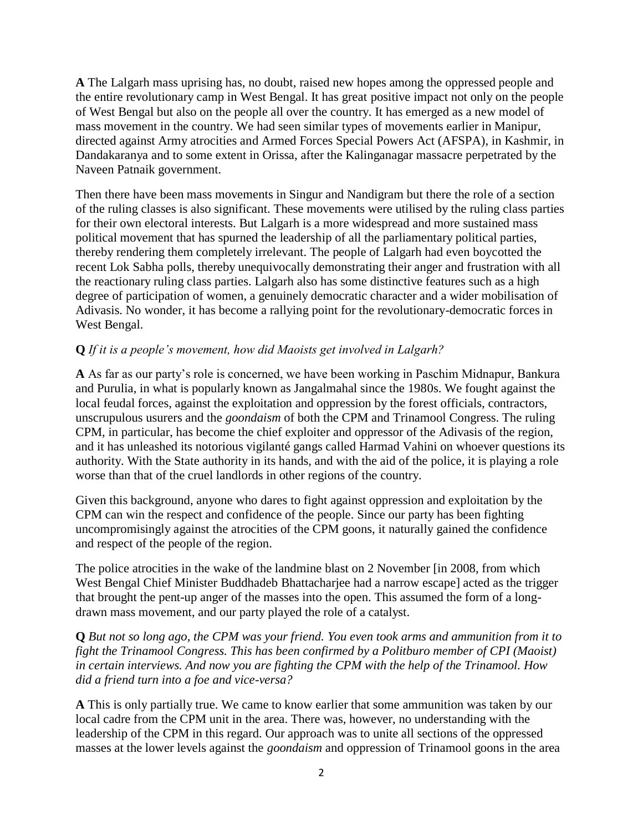**A** The Lalgarh mass uprising has, no doubt, raised new hopes among the oppressed people and the entire revolutionary camp in West Bengal. It has great positive impact not only on the people of West Bengal but also on the people all over the country. It has emerged as a new model of mass movement in the country. We had seen similar types of movements earlier in Manipur, directed against Army atrocities and Armed Forces Special Powers Act (AFSPA), in Kashmir, in Dandakaranya and to some extent in Orissa, after the Kalinganagar massacre perpetrated by the Naveen Patnaik government.

Then there have been mass movements in Singur and Nandigram but there the role of a section of the ruling classes is also significant. These movements were utilised by the ruling class parties for their own electoral interests. But Lalgarh is a more widespread and more sustained mass political movement that has spurned the leadership of all the parliamentary political parties, thereby rendering them completely irrelevant. The people of Lalgarh had even boycotted the recent Lok Sabha polls, thereby unequivocally demonstrating their anger and frustration with all the reactionary ruling class parties. Lalgarh also has some distinctive features such as a high degree of participation of women, a genuinely democratic character and a wider mobilisation of Adivasis. No wonder, it has become a rallying point for the revolutionary-democratic forces in West Bengal.

# **Q** *If it is a people's movement, how did Maoists get involved in Lalgarh?*

**A** As far as our party's role is concerned, we have been working in Paschim Midnapur, Bankura and Purulia, in what is popularly known as Jangalmahal since the 1980s. We fought against the local feudal forces, against the exploitation and oppression by the forest officials, contractors, unscrupulous usurers and the *goondaism* of both the CPM and Trinamool Congress. The ruling CPM, in particular, has become the chief exploiter and oppressor of the Adivasis of the region, and it has unleashed its notorious vigilanté gangs called Harmad Vahini on whoever questions its authority. With the State authority in its hands, and with the aid of the police, it is playing a role worse than that of the cruel landlords in other regions of the country.

Given this background, anyone who dares to fight against oppression and exploitation by the CPM can win the respect and confidence of the people. Since our party has been fighting uncompromisingly against the atrocities of the CPM goons, it naturally gained the confidence and respect of the people of the region.

The police atrocities in the wake of the landmine blast on 2 November [in 2008, from which West Bengal Chief Minister Buddhadeb Bhattacharjee had a narrow escape] acted as the trigger that brought the pent-up anger of the masses into the open. This assumed the form of a longdrawn mass movement, and our party played the role of a catalyst.

**Q** *But not so long ago, the CPM was your friend. You even took arms and ammunition from it to fight the Trinamool Congress. This has been confirmed by a Politburo member of CPI (Maoist) in certain interviews. And now you are fighting the CPM with the help of the Trinamool. How did a friend turn into a foe and vice-versa?*

**A** This is only partially true. We came to know earlier that some ammunition was taken by our local cadre from the CPM unit in the area. There was, however, no understanding with the leadership of the CPM in this regard. Our approach was to unite all sections of the oppressed masses at the lower levels against the *goondaism* and oppression of Trinamool goons in the area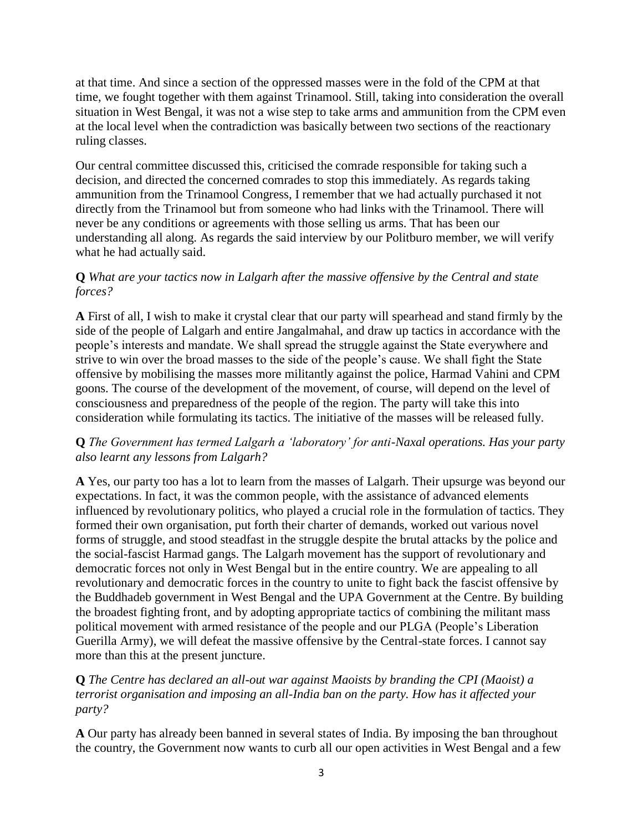at that time. And since a section of the oppressed masses were in the fold of the CPM at that time, we fought together with them against Trinamool. Still, taking into consideration the overall situation in West Bengal, it was not a wise step to take arms and ammunition from the CPM even at the local level when the contradiction was basically between two sections of the reactionary ruling classes.

Our central committee discussed this, criticised the comrade responsible for taking such a decision, and directed the concerned comrades to stop this immediately. As regards taking ammunition from the Trinamool Congress, I remember that we had actually purchased it not directly from the Trinamool but from someone who had links with the Trinamool. There will never be any conditions or agreements with those selling us arms. That has been our understanding all along. As regards the said interview by our Politburo member, we will verify what he had actually said.

# **Q** *What are your tactics now in Lalgarh after the massive offensive by the Central and state forces?*

**A** First of all, I wish to make it crystal clear that our party will spearhead and stand firmly by the side of the people of Lalgarh and entire Jangalmahal, and draw up tactics in accordance with the people's interests and mandate. We shall spread the struggle against the State everywhere and strive to win over the broad masses to the side of the people's cause. We shall fight the State offensive by mobilising the masses more militantly against the police, Harmad Vahini and CPM goons. The course of the development of the movement, of course, will depend on the level of consciousness and preparedness of the people of the region. The party will take this into consideration while formulating its tactics. The initiative of the masses will be released fully.

# **Q** *The Government has termed Lalgarh a 'laboratory' for anti-Naxal operations. Has your party also learnt any lessons from Lalgarh?*

**A** Yes, our party too has a lot to learn from the masses of Lalgarh. Their upsurge was beyond our expectations. In fact, it was the common people, with the assistance of advanced elements influenced by revolutionary politics, who played a crucial role in the formulation of tactics. They formed their own organisation, put forth their charter of demands, worked out various novel forms of struggle, and stood steadfast in the struggle despite the brutal attacks by the police and the social-fascist Harmad gangs. The Lalgarh movement has the support of revolutionary and democratic forces not only in West Bengal but in the entire country. We are appealing to all revolutionary and democratic forces in the country to unite to fight back the fascist offensive by the Buddhadeb government in West Bengal and the UPA Government at the Centre. By building the broadest fighting front, and by adopting appropriate tactics of combining the militant mass political movement with armed resistance of the people and our PLGA (People's Liberation Guerilla Army), we will defeat the massive offensive by the Central-state forces. I cannot say more than this at the present juncture.

# **Q** *The Centre has declared an all-out war against Maoists by branding the CPI (Maoist) a terrorist organisation and imposing an all-India ban on the party. How has it affected your party?*

**A** Our party has already been banned in several states of India. By imposing the ban throughout the country, the Government now wants to curb all our open activities in West Bengal and a few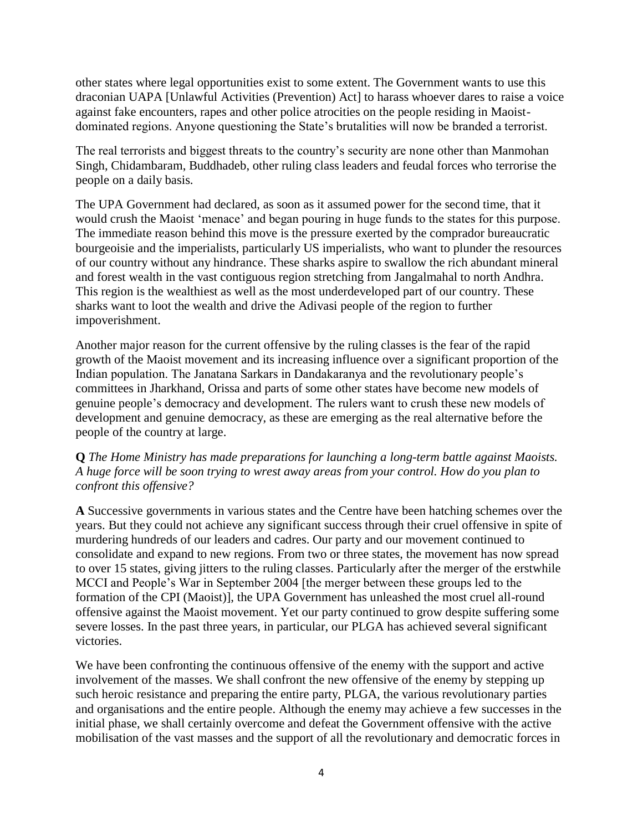other states where legal opportunities exist to some extent. The Government wants to use this draconian UAPA [Unlawful Activities (Prevention) Act] to harass whoever dares to raise a voice against fake encounters, rapes and other police atrocities on the people residing in Maoistdominated regions. Anyone questioning the State's brutalities will now be branded a terrorist.

The real terrorists and biggest threats to the country's security are none other than Manmohan Singh, Chidambaram, Buddhadeb, other ruling class leaders and feudal forces who terrorise the people on a daily basis.

The UPA Government had declared, as soon as it assumed power for the second time, that it would crush the Maoist 'menace' and began pouring in huge funds to the states for this purpose. The immediate reason behind this move is the pressure exerted by the comprador bureaucratic bourgeoisie and the imperialists, particularly US imperialists, who want to plunder the resources of our country without any hindrance. These sharks aspire to swallow the rich abundant mineral and forest wealth in the vast contiguous region stretching from Jangalmahal to north Andhra. This region is the wealthiest as well as the most underdeveloped part of our country. These sharks want to loot the wealth and drive the Adivasi people of the region to further impoverishment.

Another major reason for the current offensive by the ruling classes is the fear of the rapid growth of the Maoist movement and its increasing influence over a significant proportion of the Indian population. The Janatana Sarkars in Dandakaranya and the revolutionary people's committees in Jharkhand, Orissa and parts of some other states have become new models of genuine people's democracy and development. The rulers want to crush these new models of development and genuine democracy, as these are emerging as the real alternative before the people of the country at large.

#### **Q** *The Home Ministry has made preparations for launching a long-term battle against Maoists. A huge force will be soon trying to wrest away areas from your control. How do you plan to confront this offensive?*

**A** Successive governments in various states and the Centre have been hatching schemes over the years. But they could not achieve any significant success through their cruel offensive in spite of murdering hundreds of our leaders and cadres. Our party and our movement continued to consolidate and expand to new regions. From two or three states, the movement has now spread to over 15 states, giving jitters to the ruling classes. Particularly after the merger of the erstwhile MCCI and People's War in September 2004 [the merger between these groups led to the formation of the CPI (Maoist)], the UPA Government has unleashed the most cruel all-round offensive against the Maoist movement. Yet our party continued to grow despite suffering some severe losses. In the past three years, in particular, our PLGA has achieved several significant victories.

We have been confronting the continuous offensive of the enemy with the support and active involvement of the masses. We shall confront the new offensive of the enemy by stepping up such heroic resistance and preparing the entire party, PLGA, the various revolutionary parties and organisations and the entire people. Although the enemy may achieve a few successes in the initial phase, we shall certainly overcome and defeat the Government offensive with the active mobilisation of the vast masses and the support of all the revolutionary and democratic forces in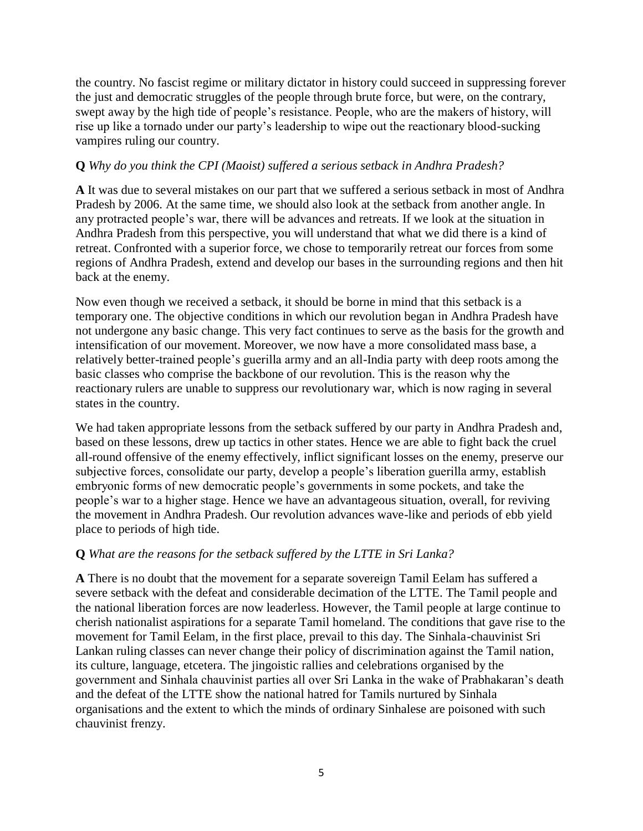the country. No fascist regime or military dictator in history could succeed in suppressing forever the just and democratic struggles of the people through brute force, but were, on the contrary, swept away by the high tide of people's resistance. People, who are the makers of history, will rise up like a tornado under our party's leadership to wipe out the reactionary blood-sucking vampires ruling our country.

#### **Q** *Why do you think the CPI (Maoist) suffered a serious setback in Andhra Pradesh?*

**A** It was due to several mistakes on our part that we suffered a serious setback in most of Andhra Pradesh by 2006. At the same time, we should also look at the setback from another angle. In any protracted people's war, there will be advances and retreats. If we look at the situation in Andhra Pradesh from this perspective, you will understand that what we did there is a kind of retreat. Confronted with a superior force, we chose to temporarily retreat our forces from some regions of Andhra Pradesh, extend and develop our bases in the surrounding regions and then hit back at the enemy.

Now even though we received a setback, it should be borne in mind that this setback is a temporary one. The objective conditions in which our revolution began in Andhra Pradesh have not undergone any basic change. This very fact continues to serve as the basis for the growth and intensification of our movement. Moreover, we now have a more consolidated mass base, a relatively better-trained people's guerilla army and an all-India party with deep roots among the basic classes who comprise the backbone of our revolution. This is the reason why the reactionary rulers are unable to suppress our revolutionary war, which is now raging in several states in the country.

We had taken appropriate lessons from the setback suffered by our party in Andhra Pradesh and, based on these lessons, drew up tactics in other states. Hence we are able to fight back the cruel all-round offensive of the enemy effectively, inflict significant losses on the enemy, preserve our subjective forces, consolidate our party, develop a people's liberation guerilla army, establish embryonic forms of new democratic people's governments in some pockets, and take the people's war to a higher stage. Hence we have an advantageous situation, overall, for reviving the movement in Andhra Pradesh. Our revolution advances wave-like and periods of ebb yield place to periods of high tide.

# **Q** *What are the reasons for the setback suffered by the LTTE in Sri Lanka?*

**A** There is no doubt that the movement for a separate sovereign Tamil Eelam has suffered a severe setback with the defeat and considerable decimation of the LTTE. The Tamil people and the national liberation forces are now leaderless. However, the Tamil people at large continue to cherish nationalist aspirations for a separate Tamil homeland. The conditions that gave rise to the movement for Tamil Eelam, in the first place, prevail to this day. The Sinhala-chauvinist Sri Lankan ruling classes can never change their policy of discrimination against the Tamil nation, its culture, language, etcetera. The jingoistic rallies and celebrations organised by the government and Sinhala chauvinist parties all over Sri Lanka in the wake of Prabhakaran's death and the defeat of the LTTE show the national hatred for Tamils nurtured by Sinhala organisations and the extent to which the minds of ordinary Sinhalese are poisoned with such chauvinist frenzy.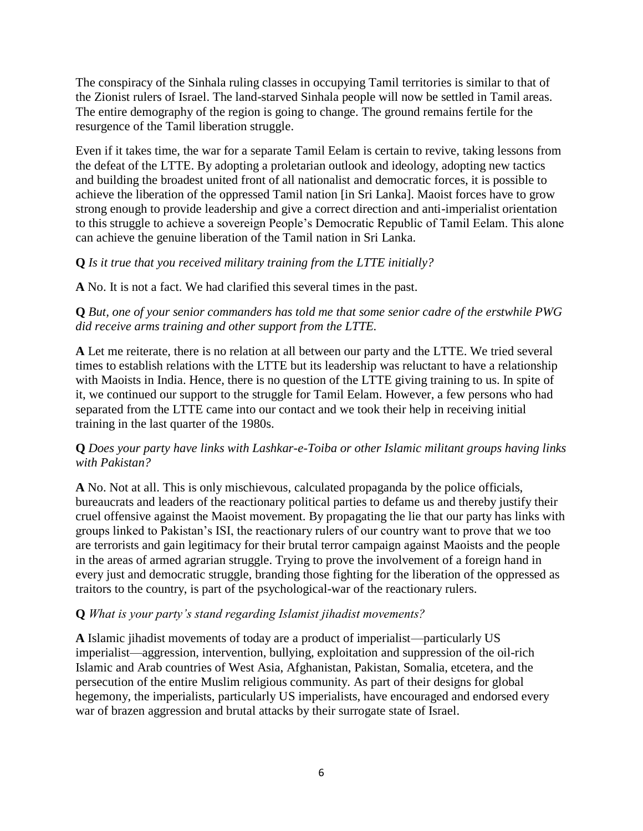The conspiracy of the Sinhala ruling classes in occupying Tamil territories is similar to that of the Zionist rulers of Israel. The land-starved Sinhala people will now be settled in Tamil areas. The entire demography of the region is going to change. The ground remains fertile for the resurgence of the Tamil liberation struggle.

Even if it takes time, the war for a separate Tamil Eelam is certain to revive, taking lessons from the defeat of the LTTE. By adopting a proletarian outlook and ideology, adopting new tactics and building the broadest united front of all nationalist and democratic forces, it is possible to achieve the liberation of the oppressed Tamil nation [in Sri Lanka]. Maoist forces have to grow strong enough to provide leadership and give a correct direction and anti-imperialist orientation to this struggle to achieve a sovereign People's Democratic Republic of Tamil Eelam. This alone can achieve the genuine liberation of the Tamil nation in Sri Lanka.

# **Q** *Is it true that you received military training from the LTTE initially?*

**A** No. It is not a fact. We had clarified this several times in the past.

# **Q** *But, one of your senior commanders has told me that some senior cadre of the erstwhile PWG did receive arms training and other support from the LTTE.*

**A** Let me reiterate, there is no relation at all between our party and the LTTE. We tried several times to establish relations with the LTTE but its leadership was reluctant to have a relationship with Maoists in India. Hence, there is no question of the LTTE giving training to us. In spite of it, we continued our support to the struggle for Tamil Eelam. However, a few persons who had separated from the LTTE came into our contact and we took their help in receiving initial training in the last quarter of the 1980s.

# **Q** *Does your party have links with Lashkar-e-Toiba or other Islamic militant groups having links with Pakistan?*

**A** No. Not at all. This is only mischievous, calculated propaganda by the police officials, bureaucrats and leaders of the reactionary political parties to defame us and thereby justify their cruel offensive against the Maoist movement. By propagating the lie that our party has links with groups linked to Pakistan's ISI, the reactionary rulers of our country want to prove that we too are terrorists and gain legitimacy for their brutal terror campaign against Maoists and the people in the areas of armed agrarian struggle. Trying to prove the involvement of a foreign hand in every just and democratic struggle, branding those fighting for the liberation of the oppressed as traitors to the country, is part of the psychological-war of the reactionary rulers.

# **Q** *What is your party's stand regarding Islamist jihadist movements?*

**A** Islamic jihadist movements of today are a product of imperialist—particularly US imperialist—aggression, intervention, bullying, exploitation and suppression of the oil-rich Islamic and Arab countries of West Asia, Afghanistan, Pakistan, Somalia, etcetera, and the persecution of the entire Muslim religious community. As part of their designs for global hegemony, the imperialists, particularly US imperialists, have encouraged and endorsed every war of brazen aggression and brutal attacks by their surrogate state of Israel.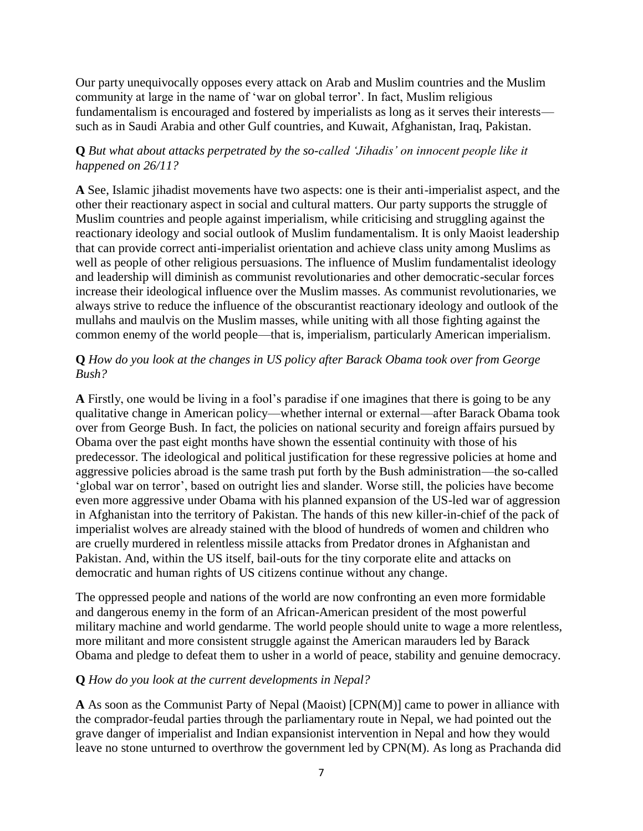Our party unequivocally opposes every attack on Arab and Muslim countries and the Muslim community at large in the name of 'war on global terror'. In fact, Muslim religious fundamentalism is encouraged and fostered by imperialists as long as it serves their interests such as in Saudi Arabia and other Gulf countries, and Kuwait, Afghanistan, Iraq, Pakistan.

# **Q** *But what about attacks perpetrated by the so-called 'Jihadis' on innocent people like it happened on 26/11?*

**A** See, Islamic jihadist movements have two aspects: one is their anti-imperialist aspect, and the other their reactionary aspect in social and cultural matters. Our party supports the struggle of Muslim countries and people against imperialism, while criticising and struggling against the reactionary ideology and social outlook of Muslim fundamentalism. It is only Maoist leadership that can provide correct anti-imperialist orientation and achieve class unity among Muslims as well as people of other religious persuasions. The influence of Muslim fundamentalist ideology and leadership will diminish as communist revolutionaries and other democratic-secular forces increase their ideological influence over the Muslim masses. As communist revolutionaries, we always strive to reduce the influence of the obscurantist reactionary ideology and outlook of the mullahs and maulvis on the Muslim masses, while uniting with all those fighting against the common enemy of the world people—that is, imperialism, particularly American imperialism.

# **Q** *How do you look at the changes in US policy after Barack Obama took over from George Bush?*

**A** Firstly, one would be living in a fool's paradise if one imagines that there is going to be any qualitative change in American policy—whether internal or external—after Barack Obama took over from George Bush. In fact, the policies on national security and foreign affairs pursued by Obama over the past eight months have shown the essential continuity with those of his predecessor. The ideological and political justification for these regressive policies at home and aggressive policies abroad is the same trash put forth by the Bush administration—the so-called 'global war on terror', based on outright lies and slander. Worse still, the policies have become even more aggressive under Obama with his planned expansion of the US-led war of aggression in Afghanistan into the territory of Pakistan. The hands of this new killer-in-chief of the pack of imperialist wolves are already stained with the blood of hundreds of women and children who are cruelly murdered in relentless missile attacks from Predator drones in Afghanistan and Pakistan. And, within the US itself, bail-outs for the tiny corporate elite and attacks on democratic and human rights of US citizens continue without any change.

The oppressed people and nations of the world are now confronting an even more formidable and dangerous enemy in the form of an African-American president of the most powerful military machine and world gendarme. The world people should unite to wage a more relentless, more militant and more consistent struggle against the American marauders led by Barack Obama and pledge to defeat them to usher in a world of peace, stability and genuine democracy.

# **Q** *How do you look at the current developments in Nepal?*

**A** As soon as the Communist Party of Nepal (Maoist) [CPN(M)] came to power in alliance with the comprador-feudal parties through the parliamentary route in Nepal, we had pointed out the grave danger of imperialist and Indian expansionist intervention in Nepal and how they would leave no stone unturned to overthrow the government led by CPN(M). As long as Prachanda did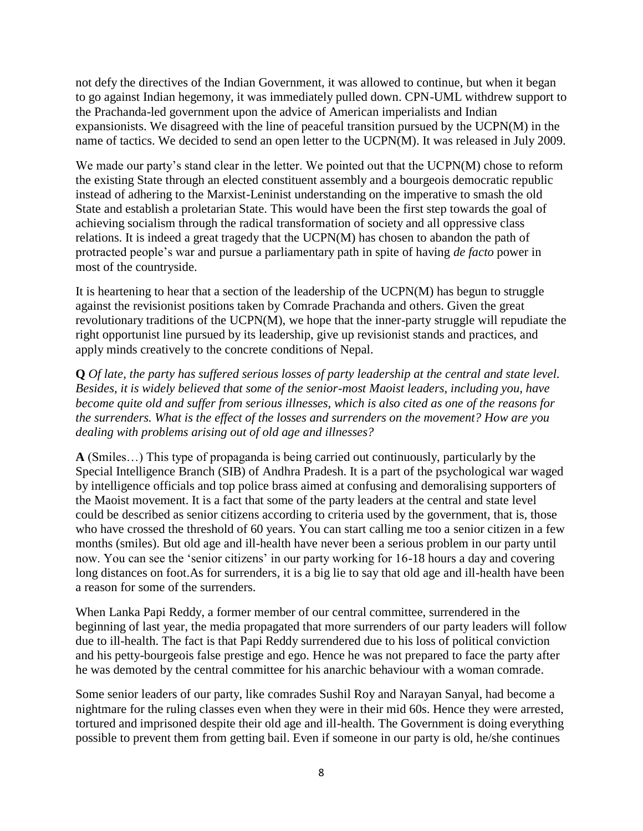not defy the directives of the Indian Government, it was allowed to continue, but when it began to go against Indian hegemony, it was immediately pulled down. CPN-UML withdrew support to the Prachanda-led government upon the advice of American imperialists and Indian expansionists. We disagreed with the line of peaceful transition pursued by the UCPN(M) in the name of tactics. We decided to send an open letter to the UCPN(M). It was released in July 2009.

We made our party's stand clear in the letter. We pointed out that the UCPN(M) chose to reform the existing State through an elected constituent assembly and a bourgeois democratic republic instead of adhering to the Marxist-Leninist understanding on the imperative to smash the old State and establish a proletarian State. This would have been the first step towards the goal of achieving socialism through the radical transformation of society and all oppressive class relations. It is indeed a great tragedy that the UCPN(M) has chosen to abandon the path of protracted people's war and pursue a parliamentary path in spite of having *de facto* power in most of the countryside.

It is heartening to hear that a section of the leadership of the UCPN(M) has begun to struggle against the revisionist positions taken by Comrade Prachanda and others. Given the great revolutionary traditions of the UCPN(M), we hope that the inner-party struggle will repudiate the right opportunist line pursued by its leadership, give up revisionist stands and practices, and apply minds creatively to the concrete conditions of Nepal.

**Q** *Of late, the party has suffered serious losses of party leadership at the central and state level. Besides, it is widely believed that some of the senior-most Maoist leaders, including you, have become quite old and suffer from serious illnesses, which is also cited as one of the reasons for the surrenders. What is the effect of the losses and surrenders on the movement? How are you dealing with problems arising out of old age and illnesses?*

**A** (Smiles…) This type of propaganda is being carried out continuously, particularly by the Special Intelligence Branch (SIB) of Andhra Pradesh. It is a part of the psychological war waged by intelligence officials and top police brass aimed at confusing and demoralising supporters of the Maoist movement. It is a fact that some of the party leaders at the central and state level could be described as senior citizens according to criteria used by the government, that is, those who have crossed the threshold of 60 years. You can start calling me too a senior citizen in a few months (smiles). But old age and ill-health have never been a serious problem in our party until now. You can see the 'senior citizens' in our party working for 16-18 hours a day and covering long distances on foot.As for surrenders, it is a big lie to say that old age and ill-health have been a reason for some of the surrenders.

When Lanka Papi Reddy, a former member of our central committee, surrendered in the beginning of last year, the media propagated that more surrenders of our party leaders will follow due to ill-health. The fact is that Papi Reddy surrendered due to his loss of political conviction and his petty-bourgeois false prestige and ego. Hence he was not prepared to face the party after he was demoted by the central committee for his anarchic behaviour with a woman comrade.

Some senior leaders of our party, like comrades Sushil Roy and Narayan Sanyal, had become a nightmare for the ruling classes even when they were in their mid 60s. Hence they were arrested, tortured and imprisoned despite their old age and ill-health. The Government is doing everything possible to prevent them from getting bail. Even if someone in our party is old, he/she continues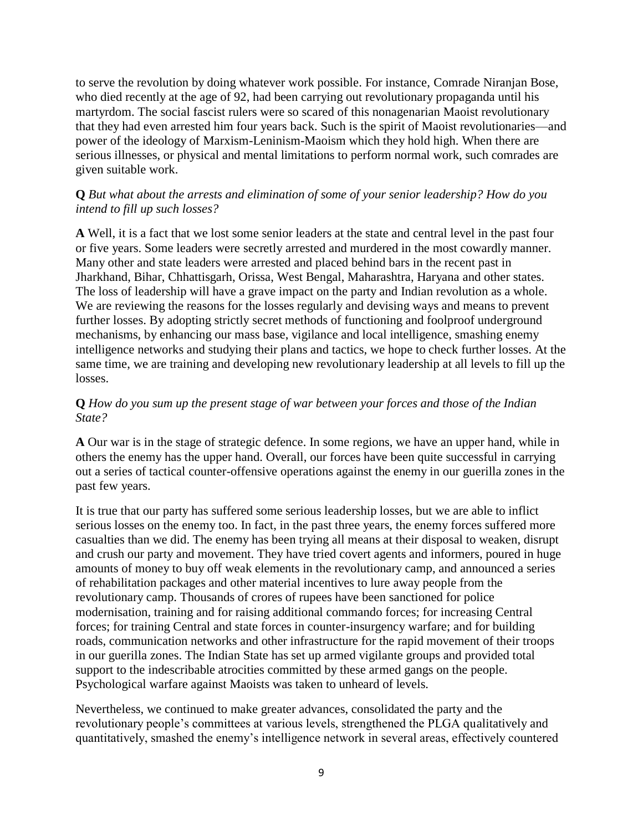to serve the revolution by doing whatever work possible. For instance, Comrade Niranjan Bose, who died recently at the age of 92, had been carrying out revolutionary propaganda until his martyrdom. The social fascist rulers were so scared of this nonagenarian Maoist revolutionary that they had even arrested him four years back. Such is the spirit of Maoist revolutionaries—and power of the ideology of Marxism-Leninism-Maoism which they hold high. When there are serious illnesses, or physical and mental limitations to perform normal work, such comrades are given suitable work.

# **Q** *But what about the arrests and elimination of some of your senior leadership? How do you intend to fill up such losses?*

**A** Well, it is a fact that we lost some senior leaders at the state and central level in the past four or five years. Some leaders were secretly arrested and murdered in the most cowardly manner. Many other and state leaders were arrested and placed behind bars in the recent past in Jharkhand, Bihar, Chhattisgarh, Orissa, West Bengal, Maharashtra, Haryana and other states. The loss of leadership will have a grave impact on the party and Indian revolution as a whole. We are reviewing the reasons for the losses regularly and devising ways and means to prevent further losses. By adopting strictly secret methods of functioning and foolproof underground mechanisms, by enhancing our mass base, vigilance and local intelligence, smashing enemy intelligence networks and studying their plans and tactics, we hope to check further losses. At the same time, we are training and developing new revolutionary leadership at all levels to fill up the losses.

# **Q** *How do you sum up the present stage of war between your forces and those of the Indian State?*

**A** Our war is in the stage of strategic defence. In some regions, we have an upper hand, while in others the enemy has the upper hand. Overall, our forces have been quite successful in carrying out a series of tactical counter-offensive operations against the enemy in our guerilla zones in the past few years.

It is true that our party has suffered some serious leadership losses, but we are able to inflict serious losses on the enemy too. In fact, in the past three years, the enemy forces suffered more casualties than we did. The enemy has been trying all means at their disposal to weaken, disrupt and crush our party and movement. They have tried covert agents and informers, poured in huge amounts of money to buy off weak elements in the revolutionary camp, and announced a series of rehabilitation packages and other material incentives to lure away people from the revolutionary camp. Thousands of crores of rupees have been sanctioned for police modernisation, training and for raising additional commando forces; for increasing Central forces; for training Central and state forces in counter-insurgency warfare; and for building roads, communication networks and other infrastructure for the rapid movement of their troops in our guerilla zones. The Indian State has set up armed vigilante groups and provided total support to the indescribable atrocities committed by these armed gangs on the people. Psychological warfare against Maoists was taken to unheard of levels.

Nevertheless, we continued to make greater advances, consolidated the party and the revolutionary people's committees at various levels, strengthened the PLGA qualitatively and quantitatively, smashed the enemy's intelligence network in several areas, effectively countered